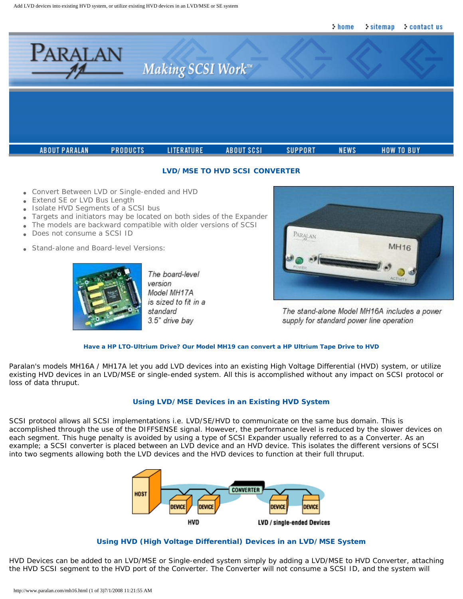

### **LVD/MSE TO HVD SCSI CONVERTER**

- Convert Between LVD or Single-ended and HVD
- Extend SE or LVD Bus Length
- Isolate HVD Segments of a SCSI bus
- Targets and initiators may be located on both sides of the Expander
- The models are backward compatible with older versions of SCSI
- Does not consume a SCSI ID
- Stand-alone and Board-level Versions:



The board-level version Model MH17A is sized to fit in a standard 3.5" drive bay



The stand-alone Model MH16A includes a power supply for standard power line operation

#### **Have a HP LTO-Ultrium Drive? [Our Model MH19 can convert a HP Ultrium Tape Drive to HVD](http://www.paralan.com/mh19.html)**

Paralan's models MH16A / MH17A let you add LVD devices into an existing High Voltage Differential (HVD) system, or utilize existing HVD devices in an LVD/MSE or single-ended system. All this is accomplished without any impact on SCSI protocol or loss of data thruput.

## **Using LVD/MSE Devices in an Existing HVD System**

SCSI protocol allows all SCSI implementations i.e. LVD/SE/HVD to communicate on the same bus domain. This is accomplished through the use of the DIFFSENSE signal. However, the performance level is reduced by the slower devices on each segment. This huge penalty is avoided by using a type of SCSI Expander usually referred to as a Converter. As an example; a SCSI converter is placed between an LVD device and an HVD device. This isolates the different versions of SCSI into two segments allowing both the LVD devices and the HVD devices to function at their full thruput.



#### **Using HVD (High Voltage Differential) Devices in an LVD/MSE System**

HVD Devices can be added to an LVD/MSE or Single-ended system simply by adding a LVD/MSE to HVD Converter, attaching the HVD SCSI segment to the HVD port of the Converter. The Converter will not consume a SCSI ID, and the system will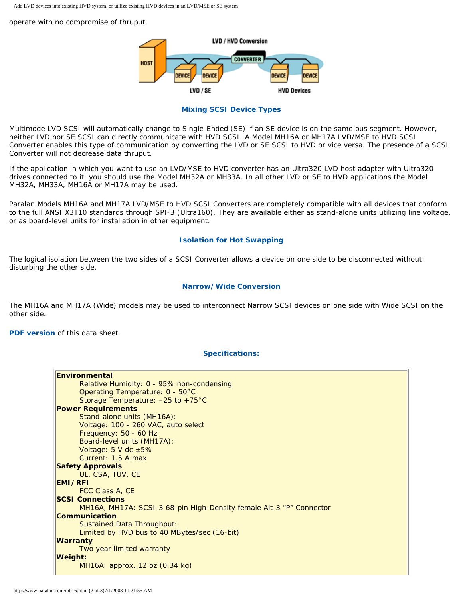operate with no compromise of thruput.



#### **Mixing SCSI Device Types**

Multimode LVD SCSI will automatically change to Single-Ended (SE) if an SE device is on the same bus segment. However, neither LVD nor SE SCSI can directly communicate with HVD SCSI. A Model MH16A or MH17A LVD/MSE to HVD SCSI Converter enables this type of communication by converting the LVD or SE SCSI to HVD or vice versa. The presence of a SCSI Converter will not decrease data thruput.

If the application in which you want to use an LVD/MSE to HVD converter has an Ultra320 LVD host adapter with Ultra320 drives connected to it, you should use the Model MH32A or MH33A. In all other LVD or SE to HVD applications the Model MH32A, MH33A, MH16A or MH17A may be used.

Paralan Models MH16A and MH17A LVD/MSE to HVD SCSI Converters are completely compatible with all devices that conform to the full ANSI X3T10 standards through SPI-3 (Ultra160). They are available either as stand-alone units utilizing line voltage, or as board-level units for installation in other equipment.

#### **Isolation for Hot Swapping**

The logical isolation between the two sides of a SCSI Converter allows a device on one side to be disconnected without disturbing the other side.

### **Narrow/Wide Conversion**

The MH16A and MH17A (Wide) models may be used to interconnect Narrow SCSI devices on one side with Wide SCSI on the other side.

**[PDF version](http://www.paralan.com/pdf/mh16data.pdf)** *of this data sheet.*

## **Specifications:**

| <b>Environmental</b>                                                |  |  |  |
|---------------------------------------------------------------------|--|--|--|
| Relative Humidity: 0 - 95% non-condensing                           |  |  |  |
| Operating Temperature: 0 - 50°C                                     |  |  |  |
| Storage Temperature: - 25 to +75°C                                  |  |  |  |
| <b>Power Requirements</b>                                           |  |  |  |
| Stand-alone units (MH16A):                                          |  |  |  |
| Voltage: 100 - 260 VAC, auto select                                 |  |  |  |
| Frequency: 50 - 60 Hz                                               |  |  |  |
| Board-level units (MH17A):                                          |  |  |  |
| Voltage: 5 V dc ±5%                                                 |  |  |  |
| Current: 1.5 A max                                                  |  |  |  |
| <b>Safety Approvals</b>                                             |  |  |  |
| UL, CSA, TUV, CE                                                    |  |  |  |
| <b>EMI/RFI</b>                                                      |  |  |  |
| FCC Class A, CE                                                     |  |  |  |
| <b>SCSI Connections</b>                                             |  |  |  |
| MH16A, MH17A: SCSI-3 68-pin High-Density female Alt-3 "P" Connector |  |  |  |
| Communication                                                       |  |  |  |
| <b>Sustained Data Throughput:</b>                                   |  |  |  |
| Limited by HVD bus to 40 MBytes/sec (16-bit)                        |  |  |  |
| <b>Warranty</b>                                                     |  |  |  |
| Two year limited warranty                                           |  |  |  |
| <b>Weight:</b>                                                      |  |  |  |
| MH16A: approx. 12 oz (0.34 kg)                                      |  |  |  |
|                                                                     |  |  |  |